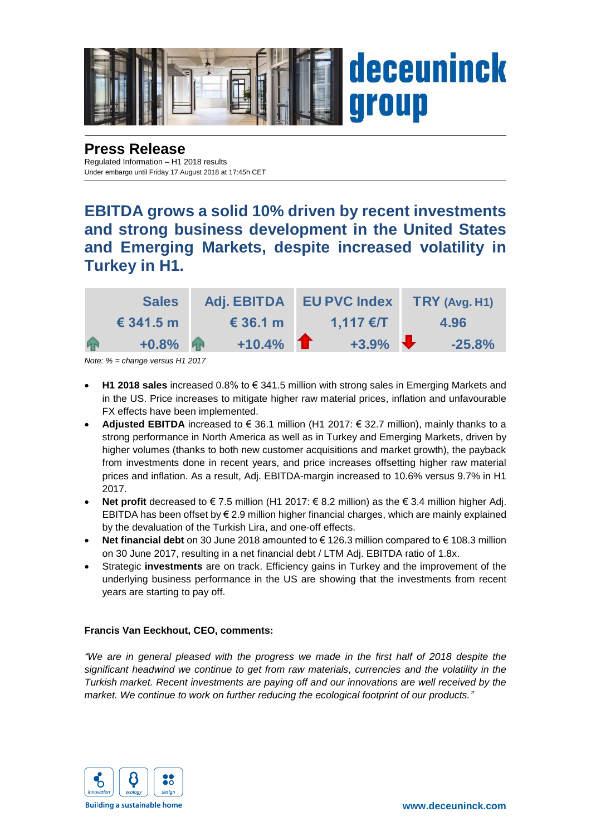

### **Press Release** Regulated Information – H1 2018 results

Under embargo until Friday 17 August 2018 at 17:45h CET

**EBITDA grows a solid 10% driven by recent investments and strong business development in the United States and Emerging Markets, despite increased volatility in Turkey in H1.**

|   | <b>Sales</b>       | Adj. EBITDA EU PVC Index |             | $TRY$ (Avg. H <sub>1</sub> ) |
|---|--------------------|--------------------------|-------------|------------------------------|
|   | $\epsilon$ 341.5 m | $\epsilon$ 36.1 m        | $1,117$ €/T | 4.96                         |
| 4 | $+0.8\%$           | $+10.4\%$                | $+3.9\%$    | $-25.8%$                     |

*Note: % = change versus H1 2017*

- **H1 2018 sales** increased 0.8% to € 341.5 million with strong sales in Emerging Markets and in the US. Price increases to mitigate higher raw material prices, inflation and unfavourable FX effects have been implemented.
- **Adjusted EBITDA** increased to € 36.1 million (H1 2017: € 32.7 million), mainly thanks to a strong performance in North America as well as in Turkey and Emerging Markets, driven by higher volumes (thanks to both new customer acquisitions and market growth), the payback from investments done in recent years, and price increases offsetting higher raw material prices and inflation. As a result, Adj. EBITDA-margin increased to 10.6% versus 9.7% in H1 2017.
- **Net profit** decreased to € 7.5 million (H1 2017: € 8.2 million) as the € 3.4 million higher Adj. EBITDA has been offset by € 2.9 million higher financial charges, which are mainly explained by the devaluation of the Turkish Lira, and one-off effects.
- **Net financial debt** on 30 June 2018 amounted to € 126.3 million compared to € 108.3 million on 30 June 2017, resulting in a net financial debt / LTM Adj. EBITDA ratio of 1.8x.
- Strategic **investments** are on track. Efficiency gains in Turkey and the improvement of the underlying business performance in the US are showing that the investments from recent years are starting to pay off.

## **Francis Van Eeckhout, CEO, comments:**

*"We are in general pleased with the progress we made in the first half of 2018 despite the significant headwind we continue to get from raw materials, currencies and the volatility in the Turkish market. Recent investments are paying off and our innovations are well received by the market. We continue to work on further reducing the ecological footprint of our products."*

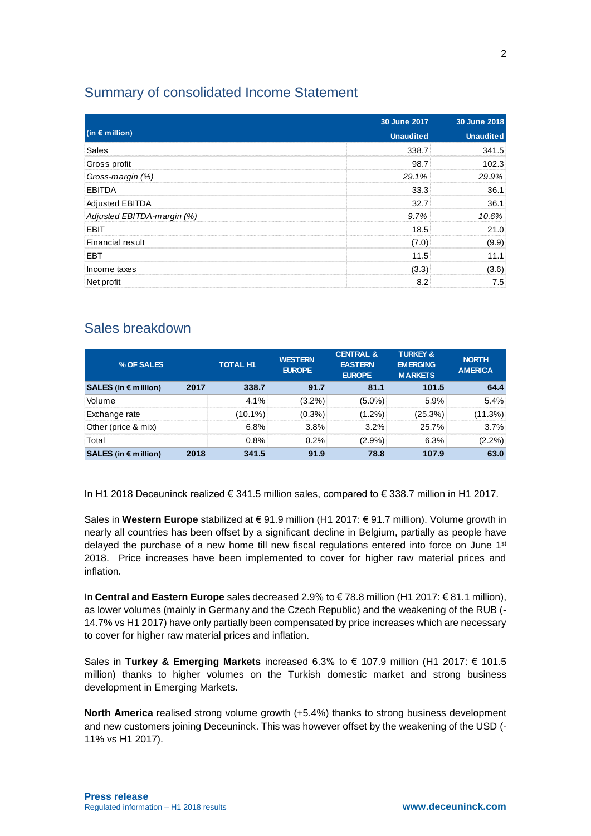# Summary of consolidated Income Statement

|                            | 30 June 2017     | 30 June 2018     |  |
|----------------------------|------------------|------------------|--|
| (in $\epsilon$ million)    | <b>Unaudited</b> | <b>Unaudited</b> |  |
| <b>Sales</b>               | 338.7            | 341.5            |  |
| Gross profit               | 98.7             | 102.3            |  |
| Gross-margin (%)           | 29.1%            | 29.9%            |  |
| <b>EBITDA</b>              | 33.3             | 36.1             |  |
| Adjusted EBITDA            | 32.7             | 36.1             |  |
| Adjusted EBITDA-margin (%) | 9.7%             | 10.6%            |  |
| <b>EBIT</b>                | 18.5             | 21.0             |  |
| <b>Financial result</b>    | (7.0)            | (9.9)            |  |
| EBT                        | 11.5             | 11.1             |  |
| Income taxes               | (3.3)            | (3.6)            |  |
| Net profit                 | 82               | 7.5              |  |

# Sales breakdown

| % OF SALES             |      | <b>TOTAL H1</b> | <b>WESTERN</b><br><b>EUROPE</b> | <b>CENTRAL &amp;</b><br><b>EASTERN</b><br><b>EUROPE</b> | <b>TURKEY &amp;</b><br><b>EMERGING</b><br><b>MARKETS</b> | <b>NORTH</b><br><b>AMERICA</b> |
|------------------------|------|-----------------|---------------------------------|---------------------------------------------------------|----------------------------------------------------------|--------------------------------|
| SALES (in $€$ million) | 2017 | 338.7           | 91.7                            | 81.1                                                    | 101.5                                                    | 64.4                           |
| Volume                 |      | 4.1%            | $(3.2\%)$                       | $(5.0\%)$                                               | 5.9%                                                     | 5.4%                           |
| Exchange rate          |      | $(10.1\%)$      | $(0.3\%)$                       | $(1.2\%)$                                               | (25.3%)                                                  | (11.3%)                        |
| Other (price & mix)    |      | 6.8%            | 3.8%                            | 3.2%                                                    | 25.7%                                                    | 3.7%                           |
| Total                  |      | 0.8%            | $0.2\%$                         | $(2.9\%)$                                               | 6.3%                                                     | $(2.2\%)$                      |
| SALES (in $€$ million) | 2018 | 341.5           | 91.9                            | 78.8                                                    | 107.9                                                    | 63.0                           |

In H1 2018 Deceuninck realized € 341.5 million sales, compared to € 338.7 million in H1 2017.

Sales in **Western Europe** stabilized at € 91.9 million (H1 2017: € 91.7 million). Volume growth in nearly all countries has been offset by a significant decline in Belgium, partially as people have delayed the purchase of a new home till new fiscal regulations entered into force on June  $1<sup>st</sup>$ 2018. Price increases have been implemented to cover for higher raw material prices and inflation.

In **Central and Eastern Europe** sales decreased 2.9% to € 78.8 million (H1 2017: € 81.1 million), as lower volumes (mainly in Germany and the Czech Republic) and the weakening of the RUB (- 14.7% vs H1 2017) have only partially been compensated by price increases which are necessary to cover for higher raw material prices and inflation.

Sales in **Turkey & Emerging Markets** increased 6.3% to € 107.9 million (H1 2017: € 101.5 million) thanks to higher volumes on the Turkish domestic market and strong business development in Emerging Markets.

**North America** realised strong volume growth (+5.4%) thanks to strong business development and new customers joining Deceuninck. This was however offset by the weakening of the USD (- 11% vs H1 2017).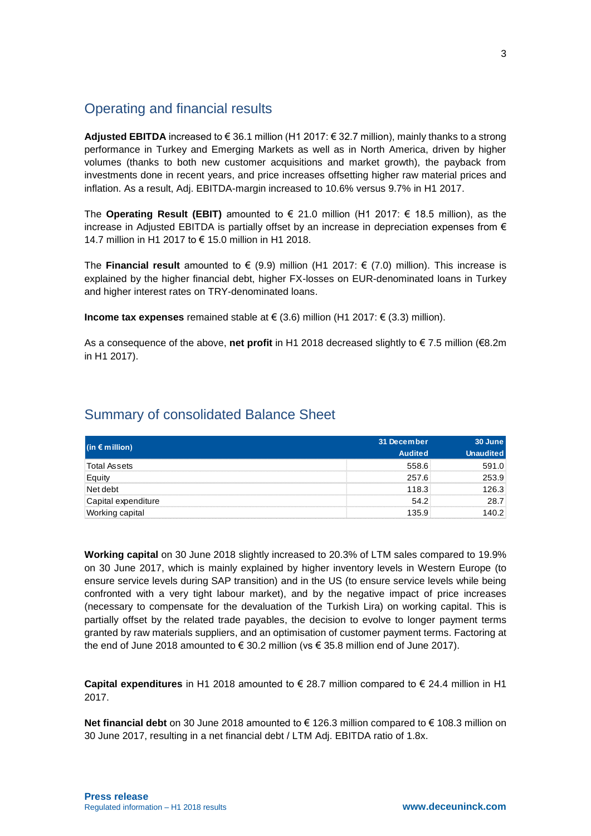# Operating and financial results

**Adjusted EBITDA** increased to € 36.1 million (H1 2017: € 32.7 million), mainly thanks to a strong performance in Turkey and Emerging Markets as well as in North America, driven by higher volumes (thanks to both new customer acquisitions and market growth), the payback from investments done in recent years, and price increases offsetting higher raw material prices and inflation. As a result, Adj. EBITDA-margin increased to 10.6% versus 9.7% in H1 2017.

The **Operating Result (EBIT)** amounted to  $\in$  21.0 million (H1 2017:  $\in$  18.5 million), as the increase in Adjusted EBITDA is partially offset by an increase in depreciation expenses from  $\epsilon$ 14.7 million in H1 2017 to € 15.0 million in H1 2018.

The **Financial result** amounted to € (9.9) million (H1 2017: € (7.0) million). This increase is explained by the higher financial debt, higher FX-losses on EUR-denominated loans in Turkey and higher interest rates on TRY-denominated loans.

**Income tax expenses** remained stable at € (3.6) million (H1 2017: € (3.3) million).

As a consequence of the above, **net profit** in H1 2018 decreased slightly to € 7.5 million (€8.2m in H1 2017).

# Summary of consolidated Balance Sheet

|                         | 31 December    | 30 June          |  |
|-------------------------|----------------|------------------|--|
| (in $\epsilon$ million) | <b>Audited</b> | <b>Unaudited</b> |  |
| Total Assets            | 558 R          | 1 O              |  |
|                         | 257.6          | 53.9.            |  |
| ®Net debt               | 118.3          | 26 R             |  |
| Capital expenditure     | 542            |                  |  |
|                         | 35 Q           |                  |  |

**Working capital** on 30 June 2018 slightly increased to 20.3% of LTM sales compared to 19.9% on 30 June 2017, which is mainly explained by higher inventory levels in Western Europe (to ensure service levels during SAP transition) and in the US (to ensure service levels while being confronted with a very tight labour market), and by the negative impact of price increases (necessary to compensate for the devaluation of the Turkish Lira) on working capital. This is partially offset by the related trade payables, the decision to evolve to longer payment terms granted by raw materials suppliers, and an optimisation of customer payment terms. Factoring at the end of June 2018 amounted to  $\in$  30.2 million (vs  $\in$  35.8 million end of June 2017).

**Capital expenditures** in H1 2018 amounted to € 28.7 million compared to € 24.4 million in H1 2017.

**Net financial debt** on 30 June 2018 amounted to € 126.3 million compared to € 108.3 million on 30 June 2017, resulting in a net financial debt / LTM Adj. EBITDA ratio of 1.8x.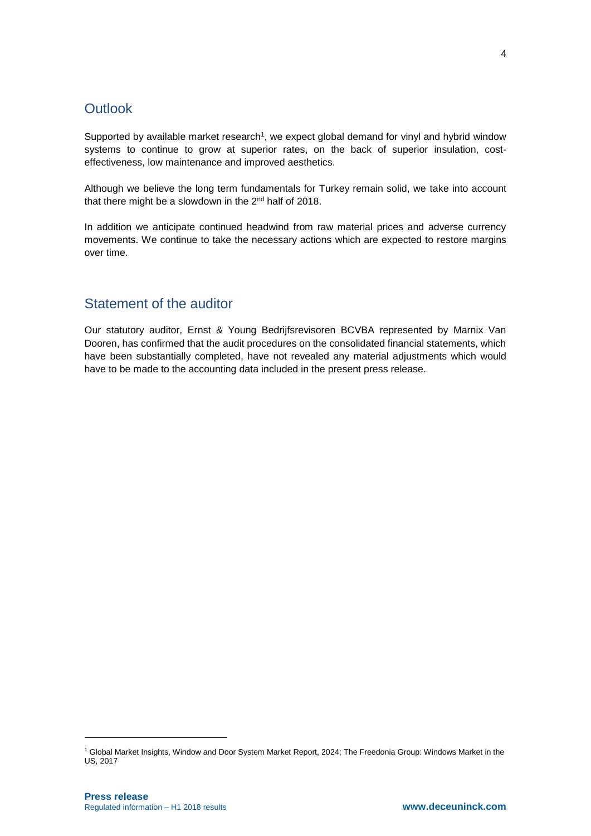# **Outlook**

Supported by available market research<sup>1</sup>, we expect global demand for vinyl and hybrid window systems to continue to grow at superior rates, on the back of superior insulation, costeffectiveness, low maintenance and improved aesthetics.

Although we believe the long term fundamentals for Turkey remain solid, we take into account that there might be a slowdown in the 2<sup>nd</sup> half of 2018.

In addition we anticipate continued headwind from raw material prices and adverse currency movements. We continue to take the necessary actions which are expected to restore margins over time.

# Statement of the auditor

Our statutory auditor, Ernst & Young Bedrijfsrevisoren BCVBA represented by Marnix Van Dooren, has confirmed that the audit procedures on the consolidated financial statements, which have been substantially completed, have not revealed any material adjustments which would have to be made to the accounting data included in the present press release.

1

<sup>1</sup> Global Market Insights, Window and Door System Market Report, 2024; The Freedonia Group: Windows Market in the US, 2017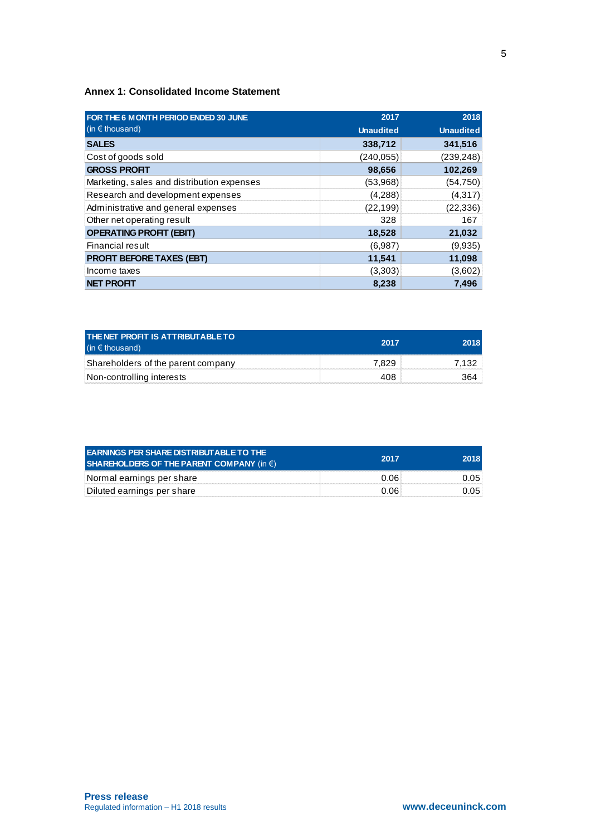### **Annex 1: Consolidated Income Statement**

| FOR THE 6 MONTH PERIOD ENDED 30 JUNE       | 2017             | 2018             |
|--------------------------------------------|------------------|------------------|
| (in $\epsilon$ thousand)                   | <b>Unaudited</b> | <b>Unaudited</b> |
| <b>SALES</b>                               | 338,712          | 341,516          |
| Cost of goods sold                         | (240, 055)       | (239, 248)       |
| <b>GROSS PROFIT</b>                        | 98,656           | 102,269          |
| Marketing, sales and distribution expenses | (53,968)         | (54, 750)        |
| Research and development expenses          | (4,288)          | (4,317)          |
| Administrative and general expenses        | (22, 199)        | (22, 336)        |
| Other net operating result                 | 328              | 167              |
| <b>OPERATING PROFIT (EBIT)</b>             | 18,528           | 21,032           |
| Financial result                           | (6,987)          | (9,935)          |
| <b>PROFIT BEFORE TAXES (EBT)</b>           | 11,541           | 11,098           |
| Income taxes                               | (3,303)          | (3,602)          |
| <b>NET PROFIT</b>                          | 8,238            | 7,496            |

| <b>THE NET PROFIT IS ATTRIBUTABLE TO</b><br>$(in \in$ thous and) | 2017 |  |
|------------------------------------------------------------------|------|--|
| Shareholders of the parent company                               |      |  |
| Non-controlling interests                                        |      |  |

| <b>EARNINGS PER SHARE DISTRIBUTABLE TO THE</b><br>SHAREHOLDERS OF THE PARENT COMPANY (in $\epsilon$ ) | 2017 |  |
|-------------------------------------------------------------------------------------------------------|------|--|
| Normal earnings per share                                                                             |      |  |
| Diluted earnings per share                                                                            | በ በፍ |  |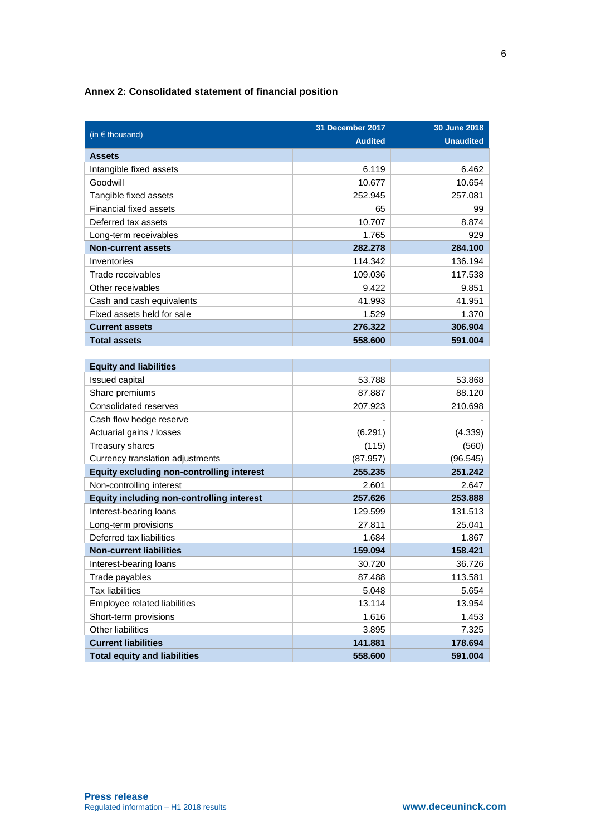## **Annex 2: Consolidated statement of financial position**

|                                                  | 31 December 2017 | 30 June 2018     |
|--------------------------------------------------|------------------|------------------|
| (in $\epsilon$ thousand)                         | <b>Audited</b>   | <b>Unaudited</b> |
| <b>Assets</b>                                    |                  |                  |
| Intangible fixed assets                          | 6.119            | 6.462            |
| Goodwill                                         | 10.677           | 10.654           |
| Tangible fixed assets                            | 252.945          | 257.081          |
| <b>Financial fixed assets</b>                    | 65               | 99               |
| Deferred tax assets                              | 10.707           | 8.874            |
| Long-term receivables                            | 1.765            | 929              |
| <b>Non-current assets</b>                        | 282.278          | 284.100          |
| Inventories                                      | 114.342          | 136.194          |
| Trade receivables                                | 109.036          | 117.538          |
| Other receivables                                | 9.422            | 9.851            |
| Cash and cash equivalents                        | 41.993           | 41.951           |
| Fixed assets held for sale                       | 1.529            | 1.370            |
| <b>Current assets</b>                            | 276.322          | 306.904          |
| <b>Total assets</b>                              | 558.600          | 591.004          |
|                                                  |                  |                  |
| <b>Equity and liabilities</b>                    |                  |                  |
| Issued capital                                   | 53.788           | 53.868           |
| Share premiums                                   | 87.887           | 88.120           |
| <b>Consolidated reserves</b>                     | 207.923          | 210.698          |
| Cash flow hedge reserve                          |                  |                  |
| Actuarial gains / losses                         | (6.291)          | (4.339)          |
| Treasury shares                                  | (115)            | (560)            |
| Currency translation adjustments                 | (87.957)         | (96.545)         |
| <b>Equity excluding non-controlling interest</b> | 255.235          | 251.242          |
| Non-controlling interest                         | 2.601            | 2.647            |
| <b>Equity including non-controlling interest</b> | 257.626          | 253.888          |
| Interest-bearing loans                           | 129.599          | 131.513          |
| Long-term provisions                             | 27.811           | 25.041           |
| Deferred tax liabilities                         | 1.684            | 1.867            |
| <b>Non-current liabilities</b>                   | 159.094          | 158.421          |
| Interest-bearing loans                           | 30.720           | 36.726           |
| Trade payables                                   | 87.488           | 113.581          |
| <b>Tax liabilities</b>                           | 5.048            | 5.654            |
| Employee related liabilities                     | 13.114           | 13.954           |
| Short-term provisions                            | 1.616            | 1.453            |
| Other liabilities                                | 3.895            | 7.325            |
| <b>Current liabilities</b>                       | 141.881          | 178.694          |
| <b>Total equity and liabilities</b>              | 558.600          | 591.004          |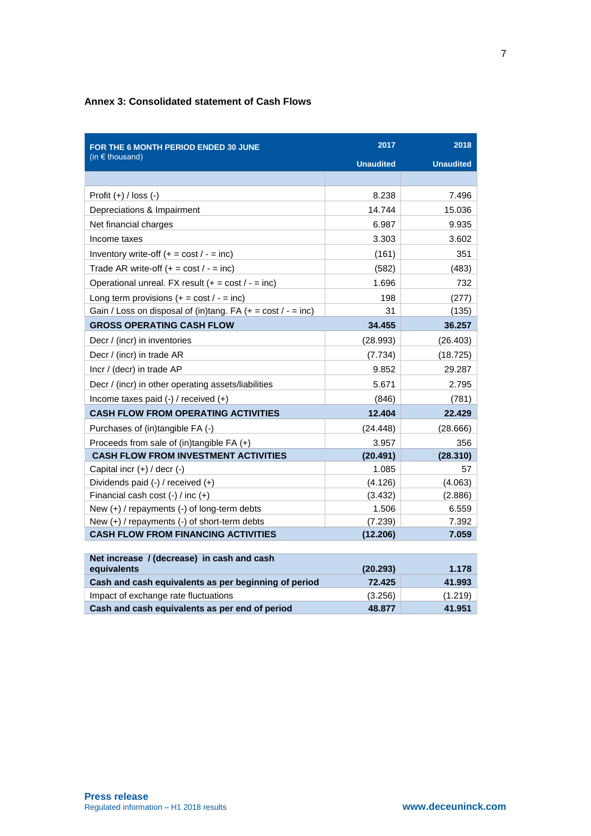## **Annex 3: Consolidated statement of Cash Flows**

| FOR THE 6 MONTH PERIOD ENDED 30 JUNE                              | 2017             | 2018             |
|-------------------------------------------------------------------|------------------|------------------|
| (in $\epsilon$ thousand)                                          | <b>Unaudited</b> | <b>Unaudited</b> |
|                                                                   |                  |                  |
| Profit $(+)$ / loss $(-)$                                         | 8.238            | 7.496            |
| Depreciations & Impairment                                        | 14.744           | 15.036           |
| Net financial charges                                             | 6.987            | 9.935            |
| Income taxes                                                      | 3.303            | 3.602            |
| Inventory write-off $(+ = \text{cost}/ - = \text{inc})$           | (161)            | 351              |
| Trade AR write-off $(+ = \text{cost}/ - = \text{inc})$            | (582)            | (483)            |
| Operational unreal. FX result $(+ = \text{cost}/ - = \text{inc})$ | 1.696            | 732              |
| Long term provisions $(+) = \cos t / - = \text{inc}$              | 198              | (277)            |
| Gain / Loss on disposal of (in)tang. FA $(+ = cost / - = inc)$    | 31               | (135)            |
| <b>GROSS OPERATING CASH FLOW</b>                                  | 34.455           | 36.257           |
| Decr / (incr) in inventories                                      | (28.993)         | (26.403)         |
| Decr / (incr) in trade AR                                         | (7.734)          | (18.725)         |
| Incr / (decr) in trade AP                                         | 9.852            | 29.287           |
| Decr / (incr) in other operating assets/liabilities               | 5.671            | 2.795            |
| Income taxes paid $(-)$ / received $(+)$                          | (846)            | (781)            |
| <b>CASH FLOW FROM OPERATING ACTIVITIES</b>                        | 12.404           | 22.429           |
| Purchases of (in)tangible FA (-)                                  | (24.448)         | (28.666)         |
| Proceeds from sale of (in)tangible FA (+)                         | 3.957            | 356              |
| <b>CASH FLOW FROM INVESTMENT ACTIVITIES</b>                       | (20.491)         | (28.310)         |
| Capital incr (+) / decr (-)                                       | 1.085            | 57               |
| Dividends paid (-) / received (+)                                 | (4.126)          | (4.063)          |
| Financial cash cost $(-)$ / inc $(+)$                             | (3.432)          | (2.886)          |
| New $(+)$ / repayments $(-)$ of long-term debts                   | 1.506            | 6.559            |
| New (+) / repayments (-) of short-term debts                      | (7.239)          | 7.392            |
| <b>CASH FLOW FROM FINANCING ACTIVITIES</b>                        | (12.206)         | 7.059            |
|                                                                   |                  |                  |
| Net increase / (decrease) in cash and cash<br>equivalents         | (20.293)         | 1.178            |
| Cash and cash equivalents as per beginning of period              | 72.425           | 41.993           |
| Impact of exchange rate fluctuations                              | (3.256)          | (1.219)          |
| Cash and cash equivalents as per end of period                    | 48,877           | 41.951           |